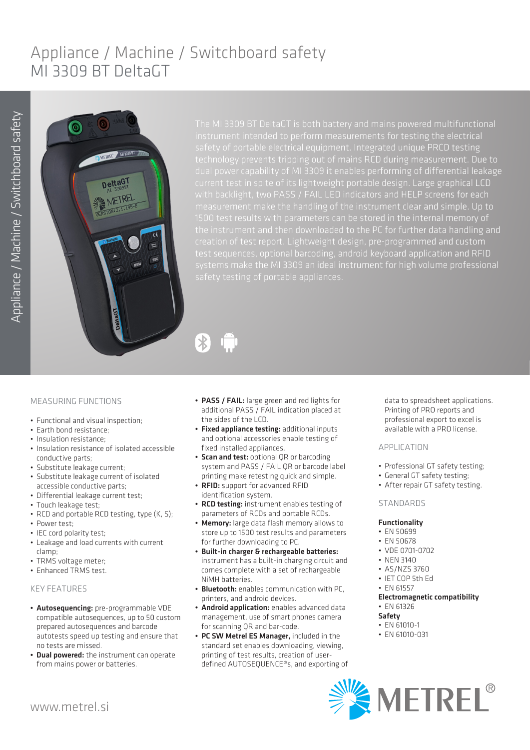# Appliance / Machine / Switchboard safety MI 3309 BT DeltaGT

 $\overline{\mathcal{X}}$ 



safety of portable electrical equipment. Integrated unique PRCD testing current test in spite of its lightweight portable design. Large graphical LCD creation of test report. Lightweight design, pre-programmed and custom test sequences, optional barcoding, android keyboard application and RFID



- Functional and visual inspection;
- Earth bond resistance;
- Insulation resistance;
- Insulation resistance of isolated accessible conductive parts;
- Substitute leakage current;
- Substitute leakage current of isolated accessible conductive parts;
- Differential leakage current test;
- Touch leakage test;
- RCD and portable RCD testing, type (K, S);
- Power test;
- IEC cord polarity test;
- Leakage and load currents with current clamp;
- TRMS voltage meter;
- Enhanced TRMS test.

## KEY FEATURES

- Autosequencing: pre-programmable VDE compatible autosequences, up to 50 custom prepared autosequences and barcode autotests speed up testing and ensure that no tests are missed.
- Dual powered: the instrument can operate from mains power or batteries.
- PASS / FAIL: large green and red lights for additional PASS / FAIL indication placed at the sides of the LCD.
- Fixed appliance testing: additional inputs and optional accessories enable testing of fixed installed appliances.
- Scan and test: optional QR or barcoding system and PASS / FAIL QR or barcode label printing make retesting quick and simple.
- RFID: support for advanced RFID identification system.
- RCD testing: instrument enables testing of parameters of RCDs and portable RCDs.
- Memory: large data flash memory allows to store up to 1500 test results and parameters for further downloading to PC. • Built-in charger & rechargeable batteries:
- instrument has a built-in charging circuit and comes complete with a set of rechargeable NiMH batteries.
- Bluetooth: enables communication with PC, printers, and android devices.
- Android application: enables advanced data management, use of smart phones camera for scanning QR and bar-code.
- PC SW Metrel ES Manager, included in the standard set enables downloading, viewing, printing of test results, creation of userdefined AUTOSEQUENCE®s, and exporting of

data to spreadsheet applications. Printing of PRO reports and professional export to excel is available with a PRO license.

#### APPLICATION

- Professional GT safety testing;
- General GT safety testing;
- After repair GT safety testing.

## STANDARDS

### Functionality

- EN 50699
- EN 50678
- VDE 0701-0702
- NEN 3140
- AS/NZS 3760
- IET COP 5th Ed
- EN 61557
- Electromagnetic compatibility • EN 61326

## Safety

- EN 61010-1
- EN 61010-031